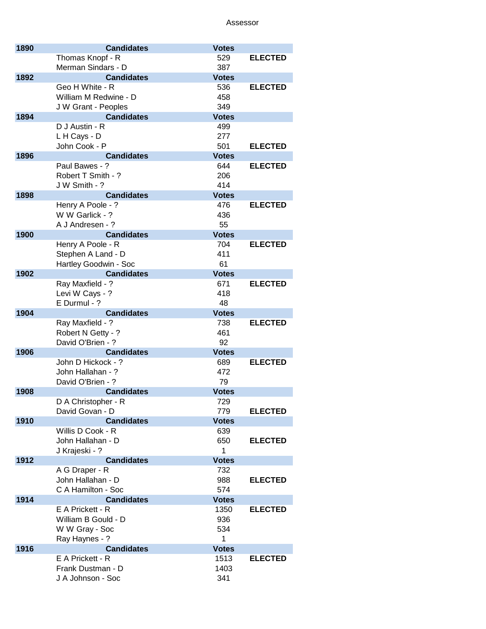| 1890 | <b>Candidates</b>                 | <b>Votes</b>       |                |
|------|-----------------------------------|--------------------|----------------|
|      | Thomas Knopf - R                  | 529                | <b>ELECTED</b> |
|      | Merman Sindars - D                | 387                |                |
| 1892 | <b>Candidates</b>                 | <b>Votes</b>       |                |
|      | Geo H White - R                   | 536                | <b>ELECTED</b> |
|      | William M Redwine - D             | 458                |                |
|      | J W Grant - Peoples               | 349                |                |
| 1894 | <b>Candidates</b>                 | <b>Votes</b>       |                |
|      | D J Austin - R                    | 499                |                |
|      | L H Cays - D                      | 277                |                |
|      | John Cook - P                     | 501                | <b>ELECTED</b> |
| 1896 | <b>Candidates</b>                 | <b>Votes</b>       |                |
|      | Paul Bawes - ?                    | 644                | <b>ELECTED</b> |
|      | Robert T Smith - ?                | 206                |                |
|      | J W Smith - ?                     | 414                |                |
| 1898 | <b>Candidates</b>                 | <b>Votes</b>       |                |
|      | Henry A Poole - ?                 | 476                | <b>ELECTED</b> |
|      | W W Garlick - ?                   | 436                |                |
|      | A J Andresen - ?                  | 55                 |                |
| 1900 | <b>Candidates</b>                 | <b>Votes</b>       |                |
|      | Henry A Poole - R                 | 704                | <b>ELECTED</b> |
|      | Stephen A Land - D                | 411                |                |
|      | Hartley Goodwin - Soc             | 61                 |                |
| 1902 | <b>Candidates</b>                 | <b>Votes</b>       |                |
|      | Ray Maxfield - ?                  | 671                | <b>ELECTED</b> |
|      | Levi W Cays - ?                   | 418                |                |
| 1904 | E Durmul - ?<br><b>Candidates</b> | 48<br><b>Votes</b> |                |
|      | Ray Maxfield - ?                  | 738                | <b>ELECTED</b> |
|      | Robert N Getty - ?                | 461                |                |
|      | David O'Brien - ?                 | 92                 |                |
| 1906 | <b>Candidates</b>                 | <b>Votes</b>       |                |
|      | John D Hickock - ?                | 689                | <b>ELECTED</b> |
|      | John Hallahan - ?                 | 472                |                |
|      | David O'Brien - ?                 | 79                 |                |
| 1908 | <b>Candidates</b>                 | <b>Votes</b>       |                |
|      | D A Christopher - R               | 729                |                |
|      | David Govan - D                   | 779                | <b>ELECTED</b> |
| 1910 | <b>Candidates</b>                 | <b>Votes</b>       |                |
|      | Willis D Cook - R                 | 639                |                |
|      | John Hallahan - D                 | 650                | <b>ELECTED</b> |
|      | J Krajeski - ?                    | 1                  |                |
| 1912 | <b>Candidates</b>                 | <b>Votes</b>       |                |
|      | A G Draper - R                    | 732                |                |
|      | John Hallahan - D                 | 988                | <b>ELECTED</b> |
|      | C A Hamilton - Soc                | 574                |                |
| 1914 | <b>Candidates</b>                 | <b>Votes</b>       |                |
|      | E A Prickett - R                  | 1350               | <b>ELECTED</b> |
|      | William B Gould - D               | 936                |                |
|      | W W Gray - Soc                    | 534                |                |
|      | Ray Haynes - ?                    | 1                  |                |
| 1916 | <b>Candidates</b>                 | <b>Votes</b>       |                |
|      | E A Prickett - R                  | 1513               | <b>ELECTED</b> |
|      | Frank Dustman - D                 | 1403               |                |
|      | J A Johnson - Soc                 | 341                |                |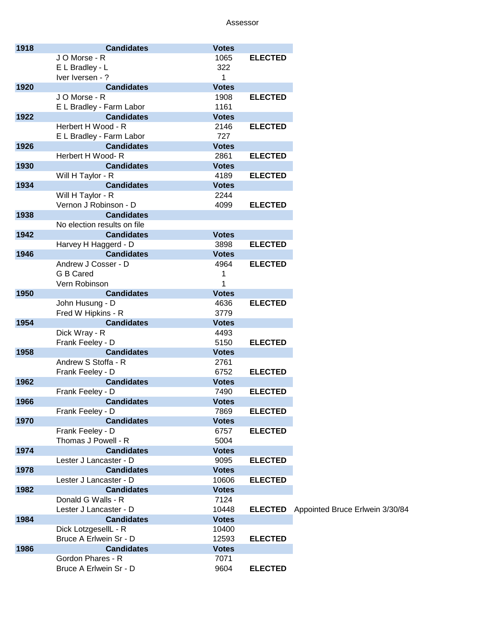| 1918 | <b>Candidates</b>           | <b>Votes</b> |                |                                 |
|------|-----------------------------|--------------|----------------|---------------------------------|
|      | JO Morse - R                | 1065         | <b>ELECTED</b> |                                 |
|      | E L Bradley - L             | 322          |                |                                 |
|      | Iver Iversen - ?            | 1            |                |                                 |
| 1920 | <b>Candidates</b>           | <b>Votes</b> |                |                                 |
|      | JO Morse - R                | 1908         | <b>ELECTED</b> |                                 |
|      | E L Bradley - Farm Labor    | 1161         |                |                                 |
| 1922 | <b>Candidates</b>           | <b>Votes</b> |                |                                 |
|      | Herbert H Wood - R          | 2146         | <b>ELECTED</b> |                                 |
|      | E L Bradley - Farm Labor    | 727          |                |                                 |
| 1926 | <b>Candidates</b>           | <b>Votes</b> |                |                                 |
|      | Herbert H Wood-R            | 2861         | <b>ELECTED</b> |                                 |
| 1930 | <b>Candidates</b>           | <b>Votes</b> |                |                                 |
|      | Will H Taylor - R           | 4189         | <b>ELECTED</b> |                                 |
| 1934 | <b>Candidates</b>           | <b>Votes</b> |                |                                 |
|      | Will H Taylor - R           | 2244         |                |                                 |
|      | Vernon J Robinson - D       | 4099         | <b>ELECTED</b> |                                 |
| 1938 | <b>Candidates</b>           |              |                |                                 |
|      | No election results on file |              |                |                                 |
| 1942 | <b>Candidates</b>           | <b>Votes</b> |                |                                 |
|      | Harvey H Haggerd - D        | 3898         | <b>ELECTED</b> |                                 |
| 1946 | <b>Candidates</b>           | <b>Votes</b> |                |                                 |
|      | Andrew J Cosser - D         | 4964         | <b>ELECTED</b> |                                 |
|      | G B Cared                   | 1            |                |                                 |
|      | Vern Robinson               | 1            |                |                                 |
| 1950 | <b>Candidates</b>           | <b>Votes</b> |                |                                 |
|      | John Husung - D             | 4636         | <b>ELECTED</b> |                                 |
|      | Fred W Hipkins - R          | 3779         |                |                                 |
| 1954 | <b>Candidates</b>           | <b>Votes</b> |                |                                 |
|      | Dick Wray - R               | 4493         |                |                                 |
|      | Frank Feeley - D            | 5150         | <b>ELECTED</b> |                                 |
| 1958 | <b>Candidates</b>           | <b>Votes</b> |                |                                 |
|      | Andrew S Stoffa - R         | 2761         |                |                                 |
|      | Frank Feeley - D            | 6752         | <b>ELECTED</b> |                                 |
| 1962 | <b>Candidates</b>           | <b>Votes</b> |                |                                 |
|      | Frank Feeley - D            | 7490         | <b>ELECTED</b> |                                 |
| 1966 | <b>Candidates</b>           | <b>Votes</b> |                |                                 |
|      | Frank Feeley - D            | 7869         | <b>ELECTED</b> |                                 |
| 1970 | <b>Candidates</b>           | <b>Votes</b> |                |                                 |
|      | Frank Feeley - D            | 6757         | <b>ELECTED</b> |                                 |
|      | Thomas J Powell - R         | 5004         |                |                                 |
| 1974 | <b>Candidates</b>           | <b>Votes</b> |                |                                 |
|      | Lester J Lancaster - D      | 9095         | <b>ELECTED</b> |                                 |
| 1978 | <b>Candidates</b>           | <b>Votes</b> |                |                                 |
|      | Lester J Lancaster - D      | 10606        | <b>ELECTED</b> |                                 |
| 1982 | <b>Candidates</b>           | <b>Votes</b> |                |                                 |
|      | Donald G Walls - R          | 7124         |                |                                 |
|      |                             | 10448        |                |                                 |
|      | Lester J Lancaster - D      |              | <b>ELECTED</b> | Appointed Bruce Erlwein 3/30/84 |
| 1984 | <b>Candidates</b>           | <b>Votes</b> |                |                                 |
|      | Dick LotzgesellL - R        | 10400        |                |                                 |
|      | Bruce A Erlwein Sr - D      | 12593        | <b>ELECTED</b> |                                 |
| 1986 | <b>Candidates</b>           | <b>Votes</b> |                |                                 |
|      | Gordon Phares - R           | 7071         |                |                                 |
|      | Bruce A Erlwein Sr - D      | 9604         | <b>ELECTED</b> |                                 |